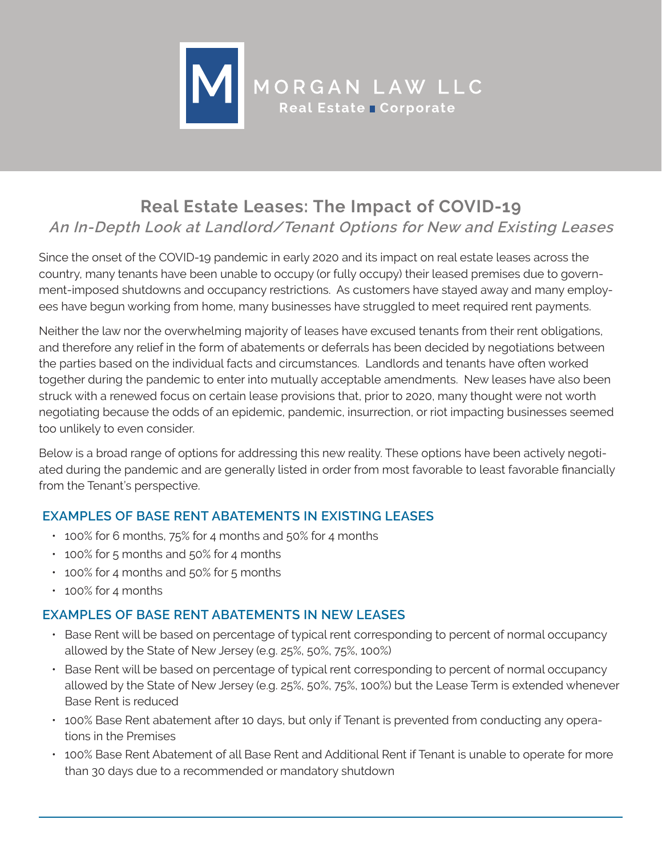

# **Real Estate Leases: The Impact of COVID-19 An In-Depth Look at Landlord/Tenant Options for New and Existing Leases**

Since the onset of the COVID-19 pandemic in early 2020 and its impact on real estate leases across the country, many tenants have been unable to occupy (or fully occupy) their leased premises due to government-imposed shutdowns and occupancy restrictions. As customers have stayed away and many employees have begun working from home, many businesses have struggled to meet required rent payments.

Neither the law nor the overwhelming majority of leases have excused tenants from their rent obligations, and therefore any relief in the form of abatements or deferrals has been decided by negotiations between the parties based on the individual facts and circumstances. Landlords and tenants have often worked together during the pandemic to enter into mutually acceptable amendments. New leases have also been struck with a renewed focus on certain lease provisions that, prior to 2020, many thought were not worth negotiating because the odds of an epidemic, pandemic, insurrection, or riot impacting businesses seemed too unlikely to even consider.

Below is a broad range of options for addressing this new reality. These options have been actively negotiated during the pandemic and are generally listed in order from most favorable to least favorable financially from the Tenant's perspective.

# **EXAMPLES OF BASE RENT ABATEMENTS IN EXISTING LEASES**

- 100% for 6 months, 75% for 4 months and 50% for 4 months
- 100% for 5 months and 50% for 4 months
- 100% for 4 months and 50% for 5 months
- 100% for 4 months

# **EXAMPLES OF BASE RENT ABATEMENTS IN NEW LEASES**

- Base Rent will be based on percentage of typical rent corresponding to percent of normal occupancy allowed by the State of New Jersey (e.g. 25%, 50%, 75%, 100%)
- Base Rent will be based on percentage of typical rent corresponding to percent of normal occupancy allowed by the State of New Jersey (e.g. 25%, 50%, 75%, 100%) but the Lease Term is extended whenever Base Rent is reduced
- 100% Base Rent abatement after 10 days, but only if Tenant is prevented from conducting any operations in the Premises
- 100% Base Rent Abatement of all Base Rent and Additional Rent if Tenant is unable to operate for more than 30 days due to a recommended or mandatory shutdown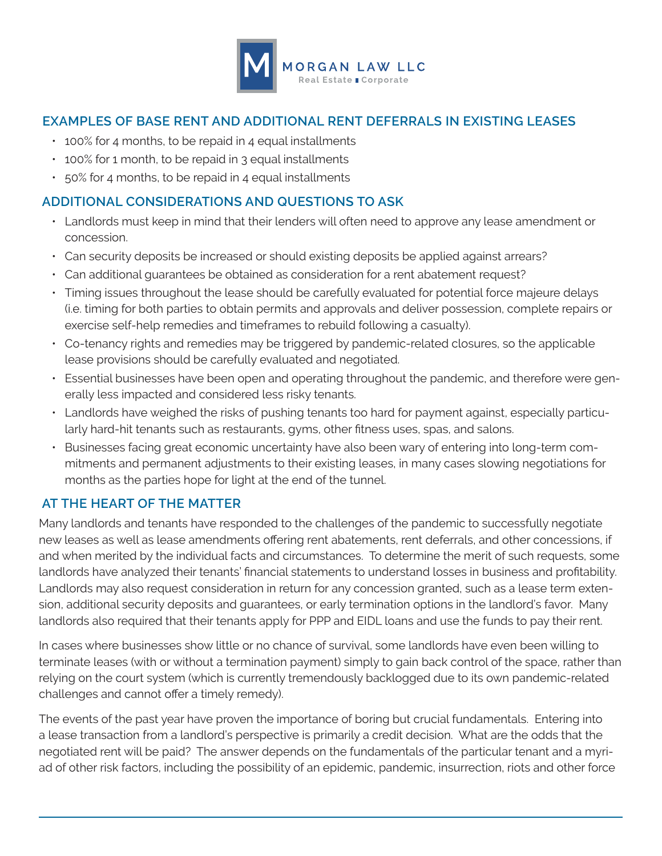

### **EXAMPLES OF BASE RENT AND ADDITIONAL RENT DEFERRALS IN EXISTING LEASES**

- 100% for 4 months, to be repaid in 4 equal installments
- 100% for 1 month, to be repaid in 3 equal installments
- 50% for 4 months, to be repaid in 4 equal installments

#### **ADDITIONAL CONSIDERATIONS AND QUESTIONS TO ASK**

- Landlords must keep in mind that their lenders will often need to approve any lease amendment or concession.
- Can security deposits be increased or should existing deposits be applied against arrears?
- Can additional guarantees be obtained as consideration for a rent abatement request?
- Timing issues throughout the lease should be carefully evaluated for potential force majeure delays (i.e. timing for both parties to obtain permits and approvals and deliver possession, complete repairs or exercise self-help remedies and timeframes to rebuild following a casualty).
- Co-tenancy rights and remedies may be triggered by pandemic-related closures, so the applicable lease provisions should be carefully evaluated and negotiated.
- Essential businesses have been open and operating throughout the pandemic, and therefore were generally less impacted and considered less risky tenants.
- Landlords have weighed the risks of pushing tenants too hard for payment against, especially particularly hard-hit tenants such as restaurants, gyms, other fitness uses, spas, and salons.
- Businesses facing great economic uncertainty have also been wary of entering into long-term commitments and permanent adjustments to their existing leases, in many cases slowing negotiations for months as the parties hope for light at the end of the tunnel.

# **AT THE HEART OF THE MATTER**

Many landlords and tenants have responded to the challenges of the pandemic to successfully negotiate new leases as well as lease amendments offering rent abatements, rent deferrals, and other concessions, if and when merited by the individual facts and circumstances. To determine the merit of such requests, some landlords have analyzed their tenants' financial statements to understand losses in business and profitability. Landlords may also request consideration in return for any concession granted, such as a lease term extension, additional security deposits and guarantees, or early termination options in the landlord's favor. Many landlords also required that their tenants apply for PPP and EIDL loans and use the funds to pay their rent.

In cases where businesses show little or no chance of survival, some landlords have even been willing to terminate leases (with or without a termination payment) simply to gain back control of the space, rather than relying on the court system (which is currently tremendously backlogged due to its own pandemic-related challenges and cannot offer a timely remedy).

The events of the past year have proven the importance of boring but crucial fundamentals. Entering into a lease transaction from a landlord's perspective is primarily a credit decision. What are the odds that the negotiated rent will be paid? The answer depends on the fundamentals of the particular tenant and a myriad of other risk factors, including the possibility of an epidemic, pandemic, insurrection, riots and other force